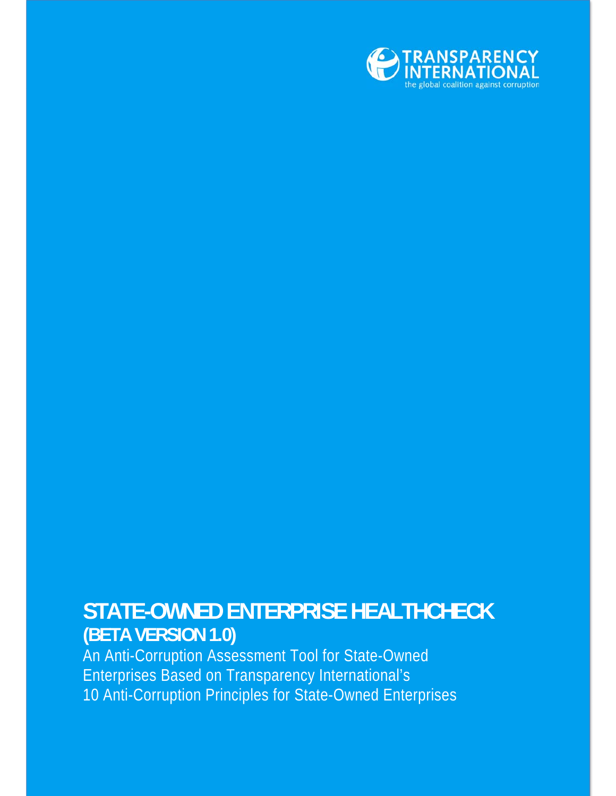

#### **STATE-OWNED ENTERPRISE HEALTHCHECK (BETA VERSION 1.0)**

An Anti-Corruption Assessment Tool for State-Owned Enterprises Based on Transparency International's 10 Anti-Corruption Principles for State-Owned Enterprises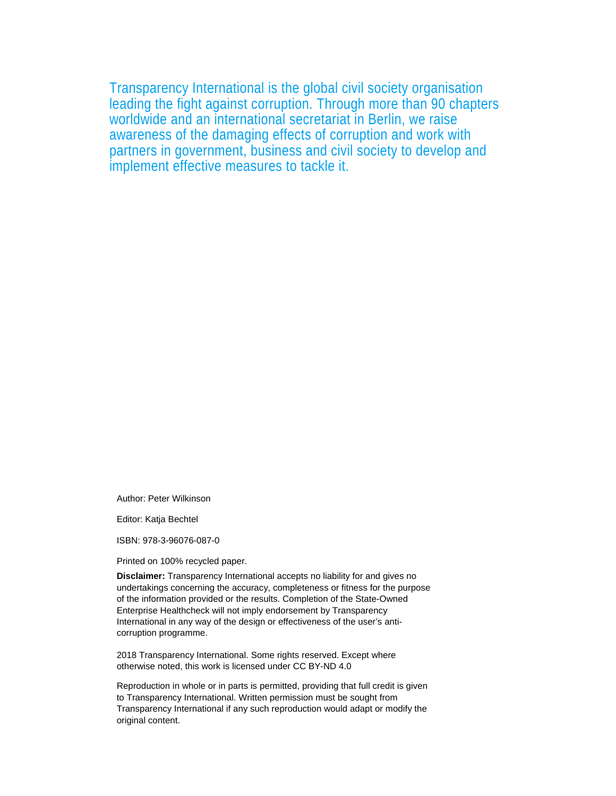Transparency International is the global civil society organisation leading the fight against corruption. Through more than 90 chapters worldwide and an international secretariat in Berlin, we raise awareness of the damaging effects of corruption and work with partners in government, business and civil society to develop and implement effective measures to tackle it.

Author: Peter Wilkinson

Editor: Katja Bechtel

ISBN: 978-3-96076-087-0

Printed on 100% recycled paper.

**Disclaimer:** Transparency International accepts no liability for and gives no undertakings concerning the accuracy, completeness or fitness for the purpose of the information provided or the results. Completion of the State-Owned Enterprise Healthcheck will not imply endorsement by Transparency International in any way of the design or effectiveness of the user's anticorruption programme.

2018 Transparency International. Some rights reserved. Except where otherwise noted, this work is licensed under CC BY-ND 4.0

Reproduction in whole or in parts is permitted, providing that full credit is given to Transparency International. Written permission must be sought from Transparency International if any such reproduction would adapt or modify the original content.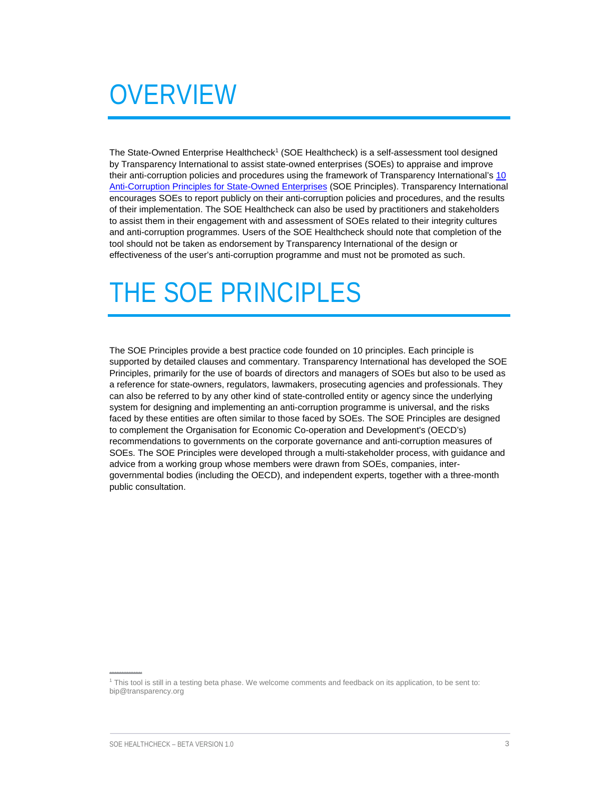# **OVERVIEW**

The State-Owned Enterprise Healthcheck<sup>1</sup> (SOE Healthcheck) is a self-assessment tool designed by Transparency International to assist state-owned enterprises (SOEs) to appraise and improve their anti-corruption policies and procedures using the framework of Transparency International's 10 Anti-Corruption Principles for State-Owned Enterprises (SOE Principles). Transparency International encourages SOEs to report publicly on their anti-corruption policies and procedures, and the results of their implementation. The SOE Healthcheck can also be used by practitioners and stakeholders to assist them in their engagement with and assessment of SOEs related to their integrity cultures and anti-corruption programmes. Users of the SOE Healthcheck should note that completion of the tool should not be taken as endorsement by Transparency International of the design or effectiveness of the user's anti-corruption programme and must not be promoted as such.

### THE SOE PRINCIPLES

The SOE Principles provide a best practice code founded on 10 principles. Each principle is supported by detailed clauses and commentary. Transparency International has developed the SOE Principles, primarily for the use of boards of directors and managers of SOEs but also to be used as a reference for state-owners, regulators, lawmakers, prosecuting agencies and professionals. They can also be referred to by any other kind of state-controlled entity or agency since the underlying system for designing and implementing an anti-corruption programme is universal, and the risks faced by these entities are often similar to those faced by SOEs. The SOE Principles are designed to complement the Organisation for Economic Co-operation and Development's (OECD's) recommendations to governments on the corporate governance and anti-corruption measures of SOEs. The SOE Principles were developed through a multi-stakeholder process, with guidance and advice from a working group whose members were drawn from SOEs, companies, intergovernmental bodies (including the OECD), and independent experts, together with a three-month public consultation.

<sup>1</sup> This tool is still in a testing beta phase. We welcome comments and feedback on its application, to be sent to: bip@transparency.org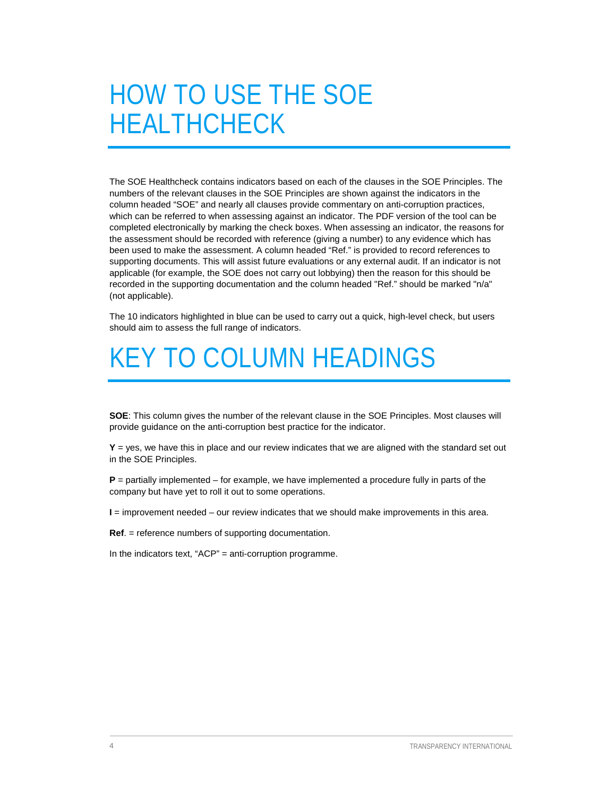## HOW TO USE THE SOE HEALTHCHECK

The SOE Healthcheck contains indicators based on each of the clauses in the SOE Principles. The numbers of the relevant clauses in the SOE Principles are shown against the indicators in the column headed "SOE" and nearly all clauses provide commentary on anti-corruption practices, which can be referred to when assessing against an indicator. The PDF version of the tool can be completed electronically by marking the check boxes. When assessing an indicator, the reasons for the assessment should be recorded with reference (giving a number) to any evidence which has been used to make the assessment. A column headed "Ref." is provided to record references to supporting documents. This will assist future evaluations or any external audit. If an indicator is not applicable (for example, the SOE does not carry out lobbying) then the reason for this should be recorded in the supporting documentation and the column headed "Ref." should be marked "n/a" (not applicable).

The 10 indicators highlighted in blue can be used to carry out a quick, high-level check, but users should aim to assess the full range of indicators.

### KEY TO COLUMN HEADINGS

**SOE**: This column gives the number of the relevant clause in the SOE Principles. Most clauses will provide guidance on the anti-corruption best practice for the indicator.

 $Y = yes$ , we have this in place and our review indicates that we are aligned with the standard set out in the SOE Principles.

**P** = partially implemented – for example, we have implemented a procedure fully in parts of the company but have yet to roll it out to some operations.

**I** = improvement needed – our review indicates that we should make improvements in this area.

**Ref**. = reference numbers of supporting documentation.

In the indicators text, "ACP" = anti-corruption programme.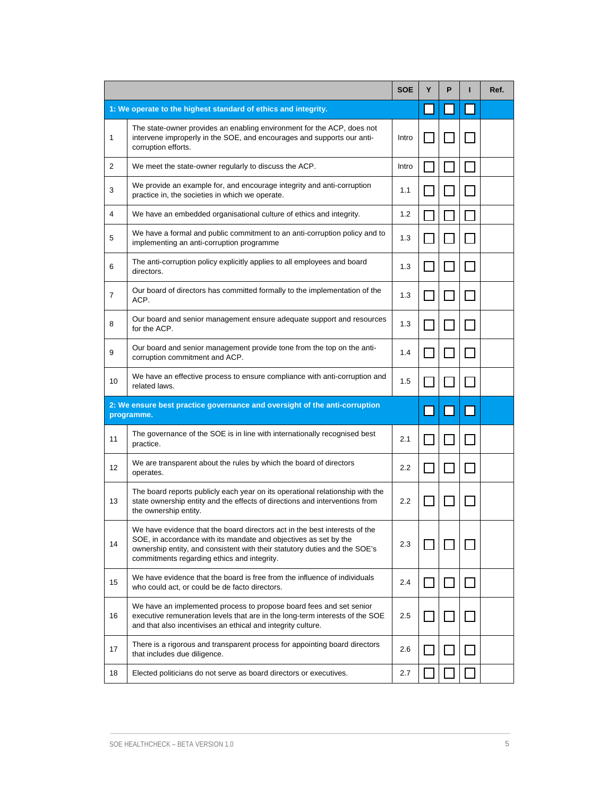|                 |                                                                                                                                                                                                                                                                             | <b>SOE</b> | Υ | P | Ref. |
|-----------------|-----------------------------------------------------------------------------------------------------------------------------------------------------------------------------------------------------------------------------------------------------------------------------|------------|---|---|------|
|                 | 1: We operate to the highest standard of ethics and integrity.                                                                                                                                                                                                              |            |   |   |      |
| 1               | The state-owner provides an enabling environment for the ACP, does not<br>intervene improperly in the SOE, and encourages and supports our anti-<br>corruption efforts.                                                                                                     | Intro      |   |   |      |
| 2               | We meet the state-owner regularly to discuss the ACP.                                                                                                                                                                                                                       | Intro      |   |   |      |
| 3               | We provide an example for, and encourage integrity and anti-corruption<br>practice in, the societies in which we operate.                                                                                                                                                   | 1.1        |   |   |      |
| 4               | We have an embedded organisational culture of ethics and integrity.                                                                                                                                                                                                         | 1.2        |   |   |      |
| 5               | We have a formal and public commitment to an anti-corruption policy and to<br>implementing an anti-corruption programme                                                                                                                                                     | 1.3        |   |   |      |
| 6               | The anti-corruption policy explicitly applies to all employees and board<br>directors.                                                                                                                                                                                      | 1.3        |   |   |      |
| $\overline{7}$  | Our board of directors has committed formally to the implementation of the<br>ACP.                                                                                                                                                                                          | 1.3        |   |   |      |
| 8               | Our board and senior management ensure adequate support and resources<br>for the ACP.                                                                                                                                                                                       | 1.3        |   |   |      |
| 9               | Our board and senior management provide tone from the top on the anti-<br>corruption commitment and ACP.                                                                                                                                                                    | 1.4        |   |   |      |
| 10              | We have an effective process to ensure compliance with anti-corruption and<br>related laws.                                                                                                                                                                                 | 1.5        |   |   |      |
|                 | 2: We ensure best practice governance and oversight of the anti-corruption<br>programme.                                                                                                                                                                                    |            |   |   |      |
| 11              | The governance of the SOE is in line with internationally recognised best<br>practice.                                                                                                                                                                                      | 2.1        |   |   |      |
| 12 <sup>2</sup> | We are transparent about the rules by which the board of directors<br>operates.                                                                                                                                                                                             | $2.2\,$    |   |   |      |
| 13              | The board reports publicly each year on its operational relationship with the<br>state ownership entity and the effects of directions and interventions from<br>the ownership entity.                                                                                       | 2.2        |   |   |      |
| 14              | We have evidence that the board directors act in the best interests of the<br>SOE, in accordance with its mandate and objectives as set by the<br>ownership entity, and consistent with their statutory duties and the SOE's<br>commitments regarding ethics and integrity. | 2.3        |   |   |      |
| 15              | We have evidence that the board is free from the influence of individuals<br>who could act, or could be de facto directors.                                                                                                                                                 | 2.4        |   |   |      |
| 16              | We have an implemented process to propose board fees and set senior<br>executive remuneration levels that are in the long-term interests of the SOE<br>and that also incentivises an ethical and integrity culture.                                                         | 2.5        |   |   |      |
| 17              | There is a rigorous and transparent process for appointing board directors<br>that includes due diligence.                                                                                                                                                                  | 2.6        |   |   |      |
| 18              | Elected politicians do not serve as board directors or executives.                                                                                                                                                                                                          | 2.7        |   |   |      |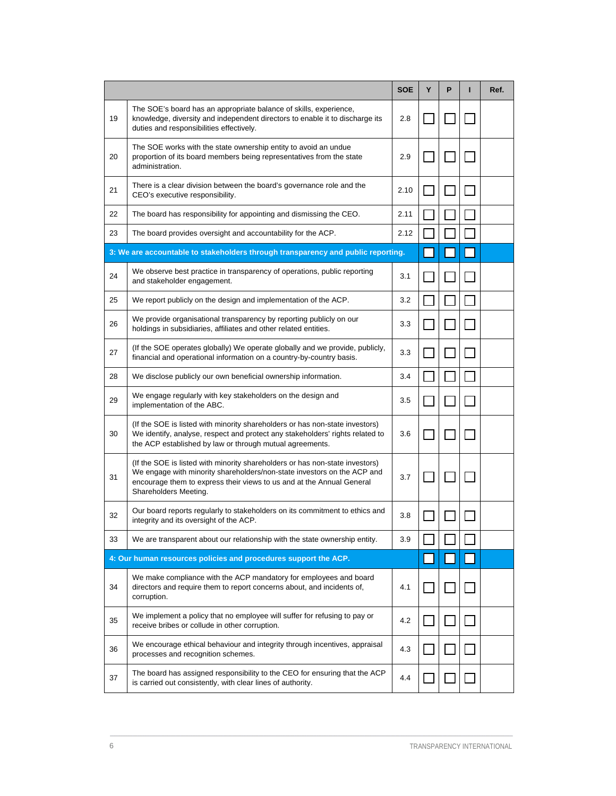|    |                                                                                                                                                                                                                                                           | <b>SOE</b> | Y | P | Ref. |
|----|-----------------------------------------------------------------------------------------------------------------------------------------------------------------------------------------------------------------------------------------------------------|------------|---|---|------|
| 19 | The SOE's board has an appropriate balance of skills, experience,<br>knowledge, diversity and independent directors to enable it to discharge its<br>duties and responsibilities effectively.                                                             | 2.8        |   |   |      |
| 20 | The SOE works with the state ownership entity to avoid an undue<br>proportion of its board members being representatives from the state<br>administration.                                                                                                | 2.9        |   |   |      |
| 21 | There is a clear division between the board's governance role and the<br>CEO's executive responsibility.                                                                                                                                                  | 2.10       |   |   |      |
| 22 | The board has responsibility for appointing and dismissing the CEO.                                                                                                                                                                                       | 2.11       |   |   |      |
| 23 | The board provides oversight and accountability for the ACP.                                                                                                                                                                                              | 2.12       |   |   |      |
|    | 3: We are accountable to stakeholders through transparency and public reporting.                                                                                                                                                                          |            |   |   |      |
| 24 | We observe best practice in transparency of operations, public reporting<br>and stakeholder engagement.                                                                                                                                                   | 3.1        |   |   |      |
| 25 | We report publicly on the design and implementation of the ACP.                                                                                                                                                                                           | 3.2        |   |   |      |
| 26 | We provide organisational transparency by reporting publicly on our<br>holdings in subsidiaries, affiliates and other related entities.                                                                                                                   | 3.3        |   |   |      |
| 27 | (If the SOE operates globally) We operate globally and we provide, publicly,<br>financial and operational information on a country-by-country basis.                                                                                                      | 3.3        |   |   |      |
| 28 | We disclose publicly our own beneficial ownership information.                                                                                                                                                                                            | 3.4        |   |   |      |
| 29 | We engage regularly with key stakeholders on the design and<br>implementation of the ABC.                                                                                                                                                                 | 3.5        |   |   |      |
| 30 | (If the SOE is listed with minority shareholders or has non-state investors)<br>We identify, analyse, respect and protect any stakeholders' rights related to<br>the ACP established by law or through mutual agreements.                                 | 3.6        |   |   |      |
| 31 | (If the SOE is listed with minority shareholders or has non-state investors)<br>We engage with minority shareholders/non-state investors on the ACP and<br>encourage them to express their views to us and at the Annual General<br>Shareholders Meeting. | 3.7        |   |   |      |
| 32 | Our board reports regularly to stakeholders on its commitment to ethics and<br>integrity and its oversight of the ACP.                                                                                                                                    | 3.8        |   |   |      |
| 33 | We are transparent about our relationship with the state ownership entity.                                                                                                                                                                                | 3.9        |   |   |      |
|    | 4: Our human resources policies and procedures support the ACP.                                                                                                                                                                                           |            |   |   |      |
| 34 | We make compliance with the ACP mandatory for employees and board<br>directors and require them to report concerns about, and incidents of,<br>corruption.                                                                                                | 4.1        |   |   |      |
| 35 | We implement a policy that no employee will suffer for refusing to pay or<br>receive bribes or collude in other corruption.                                                                                                                               | 4.2        |   |   |      |
| 36 | We encourage ethical behaviour and integrity through incentives, appraisal<br>processes and recognition schemes.                                                                                                                                          | 4.3        |   |   |      |
| 37 | The board has assigned responsibility to the CEO for ensuring that the ACP<br>is carried out consistently, with clear lines of authority.                                                                                                                 | 4.4        |   |   |      |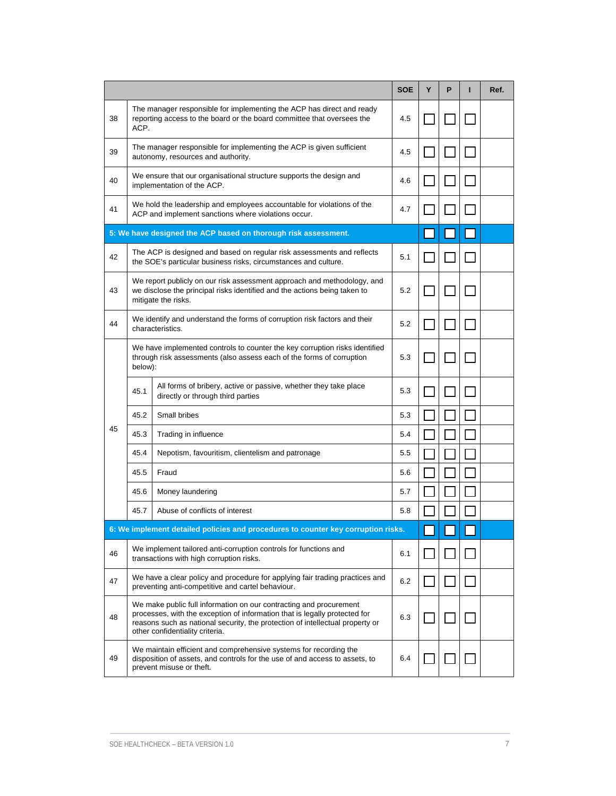|    |                                                                                                                                                                                                                                                                      |                                                                                                                                                                             | <b>SOE</b> | Y | P | Ref. |
|----|----------------------------------------------------------------------------------------------------------------------------------------------------------------------------------------------------------------------------------------------------------------------|-----------------------------------------------------------------------------------------------------------------------------------------------------------------------------|------------|---|---|------|
| 38 | ACP.                                                                                                                                                                                                                                                                 | The manager responsible for implementing the ACP has direct and ready<br>reporting access to the board or the board committee that oversees the                             | 4.5        |   |   |      |
| 39 |                                                                                                                                                                                                                                                                      | The manager responsible for implementing the ACP is given sufficient<br>autonomy, resources and authority.                                                                  | 4.5        |   |   |      |
| 40 |                                                                                                                                                                                                                                                                      | We ensure that our organisational structure supports the design and<br>implementation of the ACP.                                                                           | 4.6        |   |   |      |
| 41 |                                                                                                                                                                                                                                                                      | We hold the leadership and employees accountable for violations of the<br>ACP and implement sanctions where violations occur.                                               | 4.7        |   |   |      |
|    |                                                                                                                                                                                                                                                                      | 5: We have designed the ACP based on thorough risk assessment.                                                                                                              |            |   |   |      |
| 42 |                                                                                                                                                                                                                                                                      | The ACP is designed and based on regular risk assessments and reflects<br>the SOE's particular business risks, circumstances and culture.                                   | 5.1        |   |   |      |
| 43 |                                                                                                                                                                                                                                                                      | We report publicly on our risk assessment approach and methodology, and<br>we disclose the principal risks identified and the actions being taken to<br>mitigate the risks. | 5.2        |   |   |      |
| 44 |                                                                                                                                                                                                                                                                      | We identify and understand the forms of corruption risk factors and their<br>characteristics.                                                                               | 5.2        |   |   |      |
|    | below):                                                                                                                                                                                                                                                              | We have implemented controls to counter the key corruption risks identified<br>through risk assessments (also assess each of the forms of corruption                        | 5.3        |   |   |      |
|    | 45.1                                                                                                                                                                                                                                                                 | All forms of bribery, active or passive, whether they take place<br>directly or through third parties                                                                       | 5.3        |   |   |      |
|    | 45.2                                                                                                                                                                                                                                                                 | Small bribes                                                                                                                                                                | 5.3        |   |   |      |
| 45 | 45.3                                                                                                                                                                                                                                                                 | Trading in influence                                                                                                                                                        | 5.4        |   |   |      |
|    | 45.4                                                                                                                                                                                                                                                                 | Nepotism, favouritism, clientelism and patronage                                                                                                                            | 5.5        |   |   |      |
|    | 45.5                                                                                                                                                                                                                                                                 | Fraud                                                                                                                                                                       | 5.6        |   |   |      |
|    | 45.6                                                                                                                                                                                                                                                                 | Money laundering                                                                                                                                                            | 5.7        |   |   |      |
|    | 45.7                                                                                                                                                                                                                                                                 | Abuse of conflicts of interest                                                                                                                                              | 5.8        |   |   |      |
|    |                                                                                                                                                                                                                                                                      | 6: We implement detailed policies and procedures to counter key corruption risks.                                                                                           |            |   |   |      |
| 46 |                                                                                                                                                                                                                                                                      | We implement tailored anti-corruption controls for functions and<br>transactions with high corruption risks.                                                                | 6.1        |   |   |      |
| 47 |                                                                                                                                                                                                                                                                      | We have a clear policy and procedure for applying fair trading practices and<br>preventing anti-competitive and cartel behaviour.                                           | 6.2        |   |   |      |
| 48 | We make public full information on our contracting and procurement<br>processes, with the exception of information that is legally protected for<br>reasons such as national security, the protection of intellectual property or<br>other confidentiality criteria. |                                                                                                                                                                             | 6.3        |   |   |      |
| 49 | We maintain efficient and comprehensive systems for recording the<br>disposition of assets, and controls for the use of and access to assets, to<br>prevent misuse or theft.                                                                                         |                                                                                                                                                                             | 6.4        |   |   |      |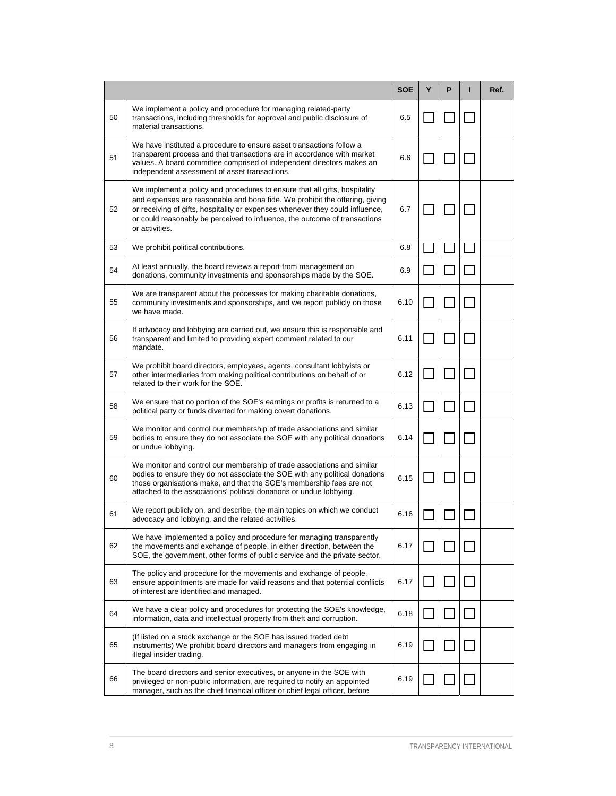|    |                                                                                                                                                                                                                                                                                                                                            | <b>SOE</b> | Υ | P | Ref. |
|----|--------------------------------------------------------------------------------------------------------------------------------------------------------------------------------------------------------------------------------------------------------------------------------------------------------------------------------------------|------------|---|---|------|
| 50 | We implement a policy and procedure for managing related-party<br>transactions, including thresholds for approval and public disclosure of<br>material transactions.                                                                                                                                                                       | 6.5        |   |   |      |
| 51 | We have instituted a procedure to ensure asset transactions follow a<br>transparent process and that transactions are in accordance with market<br>values. A board committee comprised of independent directors makes an<br>independent assessment of asset transactions.                                                                  | 6.6        |   |   |      |
| 52 | We implement a policy and procedures to ensure that all gifts, hospitality<br>and expenses are reasonable and bona fide. We prohibit the offering, giving<br>or receiving of gifts, hospitality or expenses whenever they could influence,<br>or could reasonably be perceived to influence, the outcome of transactions<br>or activities. | 6.7        |   |   |      |
| 53 | We prohibit political contributions.                                                                                                                                                                                                                                                                                                       | 6.8        |   |   |      |
| 54 | At least annually, the board reviews a report from management on<br>donations, community investments and sponsorships made by the SOE.                                                                                                                                                                                                     | 6.9        |   |   |      |
| 55 | We are transparent about the processes for making charitable donations,<br>community investments and sponsorships, and we report publicly on those<br>we have made.                                                                                                                                                                        | 6.10       |   |   |      |
| 56 | If advocacy and lobbying are carried out, we ensure this is responsible and<br>transparent and limited to providing expert comment related to our<br>mandate.                                                                                                                                                                              | 6.11       |   |   |      |
| 57 | We prohibit board directors, employees, agents, consultant lobbyists or<br>other intermediaries from making political contributions on behalf of or<br>related to their work for the SOE.                                                                                                                                                  | 6.12       |   |   |      |
| 58 | We ensure that no portion of the SOE's earnings or profits is returned to a<br>political party or funds diverted for making covert donations.                                                                                                                                                                                              | 6.13       |   |   |      |
| 59 | We monitor and control our membership of trade associations and similar<br>bodies to ensure they do not associate the SOE with any political donations<br>or undue lobbying.                                                                                                                                                               | 6.14       |   |   |      |
| 60 | We monitor and control our membership of trade associations and similar<br>bodies to ensure they do not associate the SOE with any political donations<br>those organisations make, and that the SOE's membership fees are not<br>attached to the associations' political donations or undue lobbying.                                     | 6.15       |   |   |      |
| 61 | We report publicly on, and describe, the main topics on which we conduct<br>advocacy and lobbying, and the related activities.                                                                                                                                                                                                             | 6.16       |   |   |      |
| 62 | We have implemented a policy and procedure for managing transparently<br>the movements and exchange of people, in either direction, between the<br>SOE, the government, other forms of public service and the private sector.                                                                                                              | 6.17       |   |   |      |
| 63 | The policy and procedure for the movements and exchange of people,<br>ensure appointments are made for valid reasons and that potential conflicts<br>of interest are identified and managed.                                                                                                                                               | 6.17       |   |   |      |
| 64 | We have a clear policy and procedures for protecting the SOE's knowledge,<br>information, data and intellectual property from theft and corruption.                                                                                                                                                                                        | 6.18       |   |   |      |
| 65 | (If listed on a stock exchange or the SOE has issued traded debt<br>instruments) We prohibit board directors and managers from engaging in<br>illegal insider trading.                                                                                                                                                                     | 6.19       |   |   |      |
| 66 | The board directors and senior executives, or anyone in the SOE with<br>privileged or non-public information, are required to notify an appointed<br>manager, such as the chief financial officer or chief legal officer, before                                                                                                           | 6.19       |   |   |      |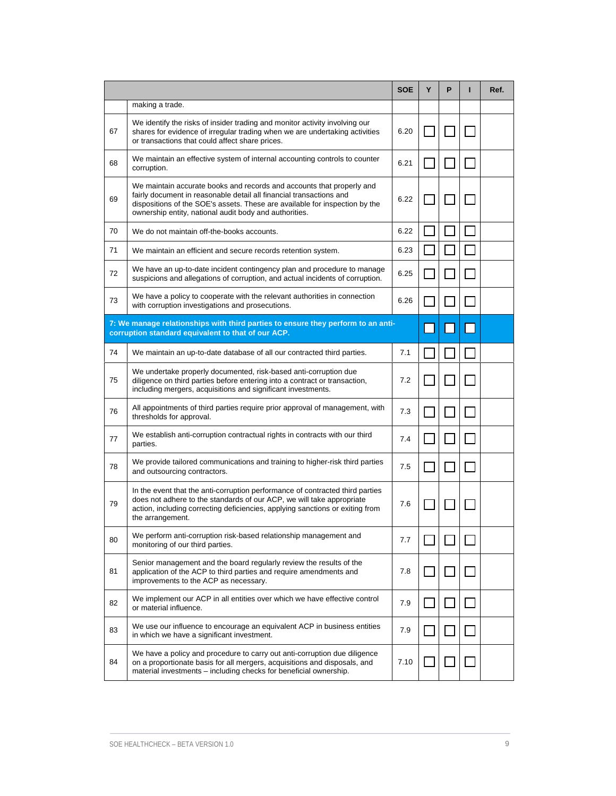|    |                                                                                                                                                                                                                                                                                       | <b>SOE</b> | Υ | Р | Ref. |
|----|---------------------------------------------------------------------------------------------------------------------------------------------------------------------------------------------------------------------------------------------------------------------------------------|------------|---|---|------|
|    | making a trade.                                                                                                                                                                                                                                                                       |            |   |   |      |
| 67 | We identify the risks of insider trading and monitor activity involving our<br>shares for evidence of irregular trading when we are undertaking activities<br>or transactions that could affect share prices.                                                                         | 6.20       |   |   |      |
| 68 | We maintain an effective system of internal accounting controls to counter<br>corruption.                                                                                                                                                                                             | 6.21       |   |   |      |
| 69 | We maintain accurate books and records and accounts that properly and<br>fairly document in reasonable detail all financial transactions and<br>dispositions of the SOE's assets. These are available for inspection by the<br>ownership entity, national audit body and authorities. | 6.22       |   |   |      |
| 70 | We do not maintain off-the-books accounts.                                                                                                                                                                                                                                            | 6.22       |   |   |      |
| 71 | We maintain an efficient and secure records retention system.                                                                                                                                                                                                                         | 6.23       |   |   |      |
| 72 | We have an up-to-date incident contingency plan and procedure to manage<br>suspicions and allegations of corruption, and actual incidents of corruption.                                                                                                                              | 6.25       |   |   |      |
| 73 | We have a policy to cooperate with the relevant authorities in connection<br>with corruption investigations and prosecutions.                                                                                                                                                         | 6.26       |   |   |      |
|    | 7: We manage relationships with third parties to ensure they perform to an anti-<br>corruption standard equivalent to that of our ACP.                                                                                                                                                |            |   |   |      |
| 74 | We maintain an up-to-date database of all our contracted third parties.                                                                                                                                                                                                               | 7.1        |   |   |      |
| 75 | We undertake properly documented, risk-based anti-corruption due<br>diligence on third parties before entering into a contract or transaction,<br>including mergers, acquisitions and significant investments.                                                                        | 7.2        |   |   |      |
| 76 | All appointments of third parties require prior approval of management, with<br>thresholds for approval.                                                                                                                                                                              | 7.3        |   |   |      |
| 77 | We establish anti-corruption contractual rights in contracts with our third<br>parties.                                                                                                                                                                                               | 7.4        |   |   |      |
| 78 | We provide tailored communications and training to higher-risk third parties<br>and outsourcing contractors.                                                                                                                                                                          | 7.5        |   |   |      |
| 79 | In the event that the anti-corruption performance of contracted third parties<br>does not adhere to the standards of our ACP, we will take appropriate<br>action, including correcting deficiencies, applying sanctions or exiting from<br>the arrangement.                           | 7.6        |   |   |      |
| 80 | We perform anti-corruption risk-based relationship management and<br>monitoring of our third parties.                                                                                                                                                                                 | 7.7        |   |   |      |
| 81 | Senior management and the board regularly review the results of the<br>application of the ACP to third parties and require amendments and<br>improvements to the ACP as necessary.                                                                                                    | 7.8        |   |   |      |
| 82 | We implement our ACP in all entities over which we have effective control<br>or material influence.                                                                                                                                                                                   | 7.9        |   |   |      |
| 83 | We use our influence to encourage an equivalent ACP in business entities<br>in which we have a significant investment.                                                                                                                                                                | 7.9        |   |   |      |
| 84 | We have a policy and procedure to carry out anti-corruption due diligence<br>on a proportionate basis for all mergers, acquisitions and disposals, and<br>material investments - including checks for beneficial ownership.                                                           | 7.10       |   |   |      |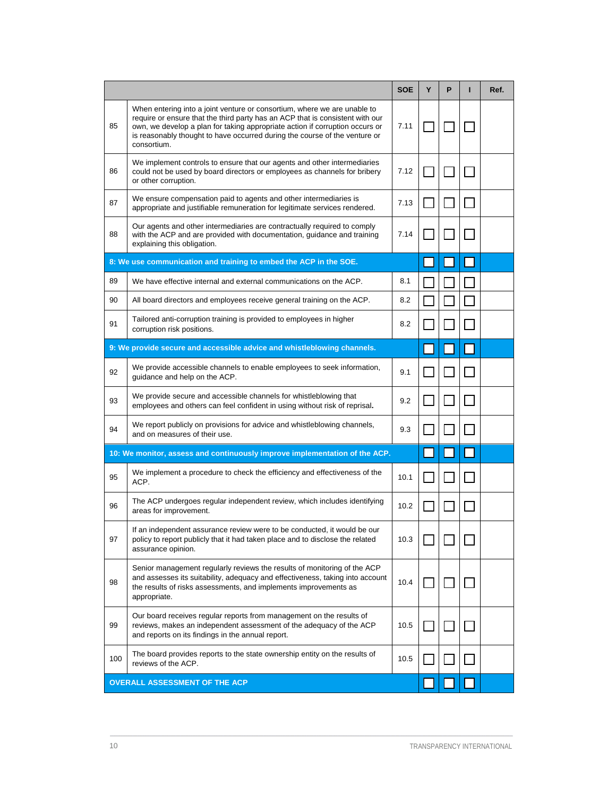|                                                                            |                                                                                                                                                                                                                                                                                                                                        | <b>SOE</b> | Υ | P | Ref. |
|----------------------------------------------------------------------------|----------------------------------------------------------------------------------------------------------------------------------------------------------------------------------------------------------------------------------------------------------------------------------------------------------------------------------------|------------|---|---|------|
| 85                                                                         | When entering into a joint venture or consortium, where we are unable to<br>require or ensure that the third party has an ACP that is consistent with our<br>own, we develop a plan for taking appropriate action if corruption occurs or<br>is reasonably thought to have occurred during the course of the venture or<br>consortium. | 7.11       |   |   |      |
| 86                                                                         | We implement controls to ensure that our agents and other intermediaries<br>could not be used by board directors or employees as channels for bribery<br>or other corruption.                                                                                                                                                          | 7.12       |   |   |      |
| 87                                                                         | We ensure compensation paid to agents and other intermediaries is<br>appropriate and justifiable remuneration for legitimate services rendered.                                                                                                                                                                                        | 7.13       |   |   |      |
| 88                                                                         | Our agents and other intermediaries are contractually required to comply<br>with the ACP and are provided with documentation, guidance and training<br>explaining this obligation.                                                                                                                                                     | 7.14       |   |   |      |
|                                                                            | 8: We use communication and training to embed the ACP in the SOE.                                                                                                                                                                                                                                                                      |            |   |   |      |
| 89                                                                         | We have effective internal and external communications on the ACP.                                                                                                                                                                                                                                                                     | 8.1        |   |   |      |
| 90                                                                         | All board directors and employees receive general training on the ACP.                                                                                                                                                                                                                                                                 | 8.2        |   |   |      |
| 91                                                                         | Tailored anti-corruption training is provided to employees in higher<br>corruption risk positions.                                                                                                                                                                                                                                     | 8.2        |   |   |      |
|                                                                            | 9: We provide secure and accessible advice and whistleblowing channels.                                                                                                                                                                                                                                                                |            |   |   |      |
| 92                                                                         | We provide accessible channels to enable employees to seek information,<br>guidance and help on the ACP.                                                                                                                                                                                                                               | 9.1        |   |   |      |
| 93                                                                         | We provide secure and accessible channels for whistleblowing that<br>employees and others can feel confident in using without risk of reprisal.                                                                                                                                                                                        | 9.2        |   |   |      |
| 94                                                                         | We report publicly on provisions for advice and whistleblowing channels,<br>and on measures of their use.                                                                                                                                                                                                                              | 9.3        |   |   |      |
| 10: We monitor, assess and continuously improve implementation of the ACP. |                                                                                                                                                                                                                                                                                                                                        |            |   |   |      |
| 95                                                                         | We implement a procedure to check the efficiency and effectiveness of the<br>ACP.                                                                                                                                                                                                                                                      | 10.1       |   |   |      |
| 96                                                                         | The ACP undergoes regular independent review, which includes identifying<br>areas for improvement.                                                                                                                                                                                                                                     | 10.2       |   |   |      |
| 97                                                                         | If an independent assurance review were to be conducted, it would be our<br>policy to report publicly that it had taken place and to disclose the related<br>assurance opinion.                                                                                                                                                        | 10.3       |   |   |      |
| 98                                                                         | Senior management regularly reviews the results of monitoring of the ACP<br>and assesses its suitability, adequacy and effectiveness, taking into account<br>the results of risks assessments, and implements improvements as<br>appropriate.                                                                                          | 10.4       |   |   |      |
| 99                                                                         | Our board receives regular reports from management on the results of<br>reviews, makes an independent assessment of the adequacy of the ACP<br>and reports on its findings in the annual report.                                                                                                                                       | 10.5       |   |   |      |
| 100                                                                        | The board provides reports to the state ownership entity on the results of<br>reviews of the ACP.                                                                                                                                                                                                                                      | 10.5       |   |   |      |
| <b>OVERALL ASSESSMENT OF THE ACP</b>                                       |                                                                                                                                                                                                                                                                                                                                        |            |   |   |      |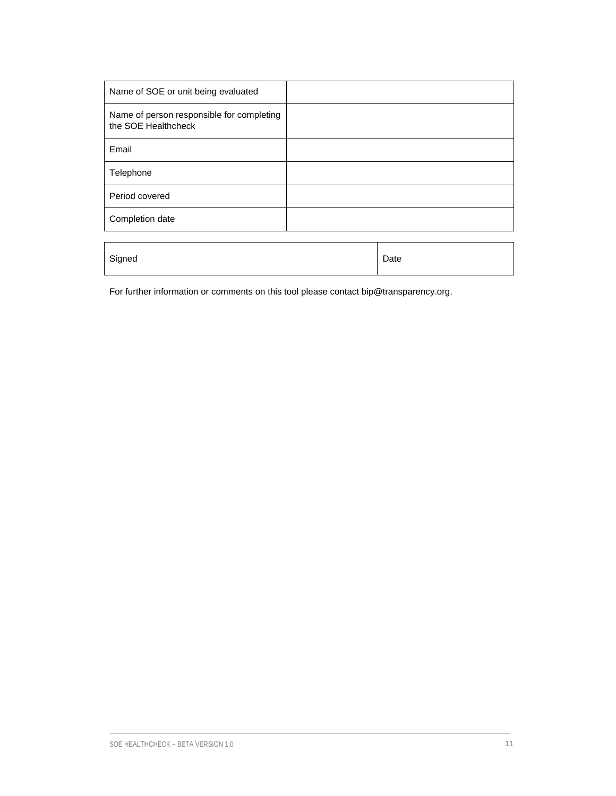| Name of SOE or unit being evaluated                              |      |
|------------------------------------------------------------------|------|
| Name of person responsible for completing<br>the SOE Healthcheck |      |
| Email                                                            |      |
| Telephone                                                        |      |
| Period covered                                                   |      |
| Completion date                                                  |      |
|                                                                  |      |
| Signed                                                           | Date |

For further information or comments on this tool please contact bip@transparency.org.